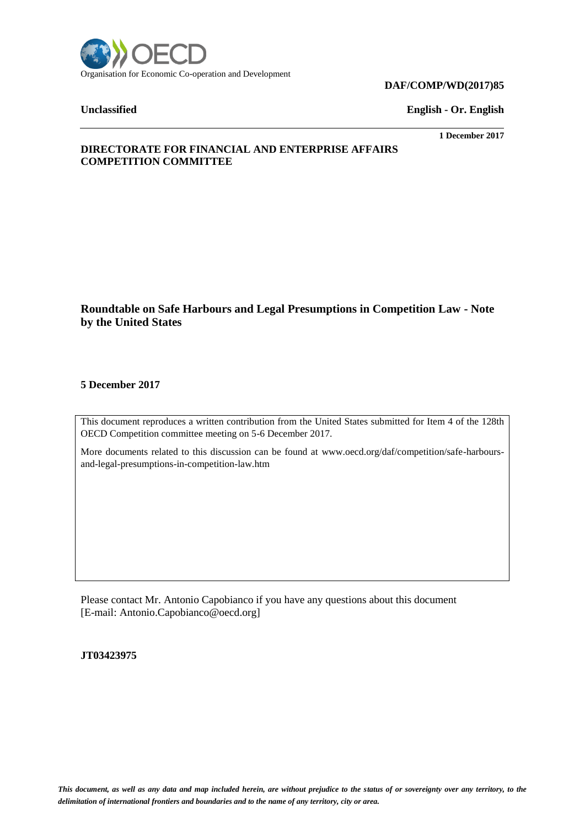

#### **DAF/COMP/WD(2017)85**

**Unclassified English - Or. English**

**1 December 2017**

# **DIRECTORATE FOR FINANCIAL AND ENTERPRISE AFFAIRS COMPETITION COMMITTEE**

# **Roundtable on Safe Harbours and Legal Presumptions in Competition Law - Note by the United States**

# **5 December 2017**

This document reproduces a written contribution from the United States submitted for Item 4 of the 128th OECD Competition committee meeting on 5-6 December 2017.

More documents related to this discussion can be found at www.oecd.org/daf/competition/safe-harboursand-legal-presumptions-in-competition-law.htm

Please contact Mr. Antonio Capobianco if you have any questions about this document [E-mail: Antonio.Capobianco@oecd.org]

**JT03423975**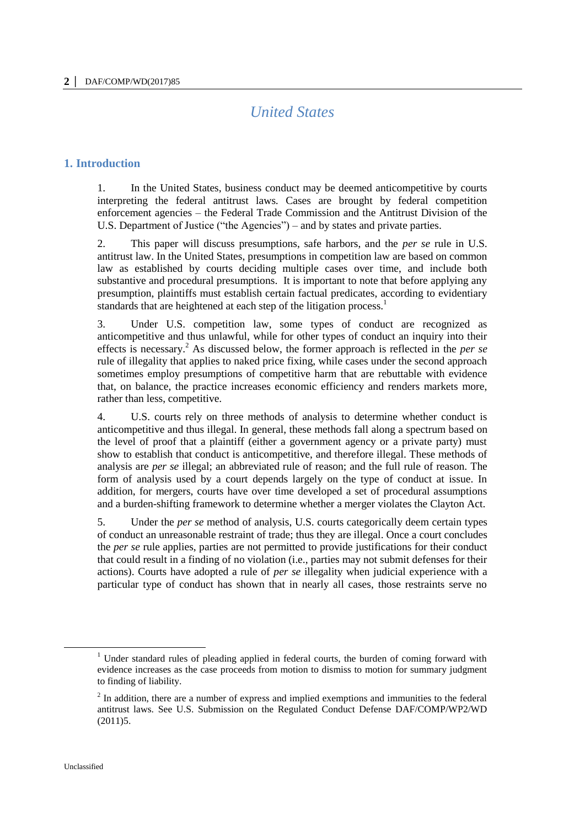# *United States*

# **1. Introduction**

1. In the United States, business conduct may be deemed anticompetitive by courts interpreting the federal antitrust laws. Cases are brought by federal competition enforcement agencies – the Federal Trade Commission and the Antitrust Division of the U.S. Department of Justice ("the Agencies") – and by states and private parties.

2. This paper will discuss presumptions, safe harbors, and the *per se* rule in U.S. antitrust law. In the United States, presumptions in competition law are based on common law as established by courts deciding multiple cases over time, and include both substantive and procedural presumptions. It is important to note that before applying any presumption, plaintiffs must establish certain factual predicates, according to evidentiary standards that are heightened at each step of the litigation process.<sup>1</sup>

3. Under U.S. competition law, some types of conduct are recognized as anticompetitive and thus unlawful, while for other types of conduct an inquiry into their effects is necessary.<sup>2</sup> As discussed below, the former approach is reflected in the *per se* rule of illegality that applies to naked price fixing, while cases under the second approach sometimes employ presumptions of competitive harm that are rebuttable with evidence that, on balance, the practice increases economic efficiency and renders markets more, rather than less, competitive.

4. U.S. courts rely on three methods of analysis to determine whether conduct is anticompetitive and thus illegal. In general, these methods fall along a spectrum based on the level of proof that a plaintiff (either a government agency or a private party) must show to establish that conduct is anticompetitive, and therefore illegal. These methods of analysis are *per se* illegal; an abbreviated rule of reason; and the full rule of reason. The form of analysis used by a court depends largely on the type of conduct at issue. In addition, for mergers, courts have over time developed a set of procedural assumptions and a burden-shifting framework to determine whether a merger violates the Clayton Act.

5. Under the *per se* method of analysis, U.S. courts categorically deem certain types of conduct an unreasonable restraint of trade; thus they are illegal. Once a court concludes the *per se* rule applies, parties are not permitted to provide justifications for their conduct that could result in a finding of no violation (i.e., parties may not submit defenses for their actions). Courts have adopted a rule of *per se* illegality when judicial experience with a particular type of conduct has shown that in nearly all cases, those restraints serve no

<sup>&</sup>lt;sup>1</sup> Under standard rules of pleading applied in federal courts, the burden of coming forward with evidence increases as the case proceeds from motion to dismiss to motion for summary judgment to finding of liability.

 $2<sup>2</sup>$  In addition, there are a number of express and implied exemptions and immunities to the federal antitrust laws. See U.S. Submission on the Regulated Conduct Defense DAF/COMP/WP2/WD (2011)5.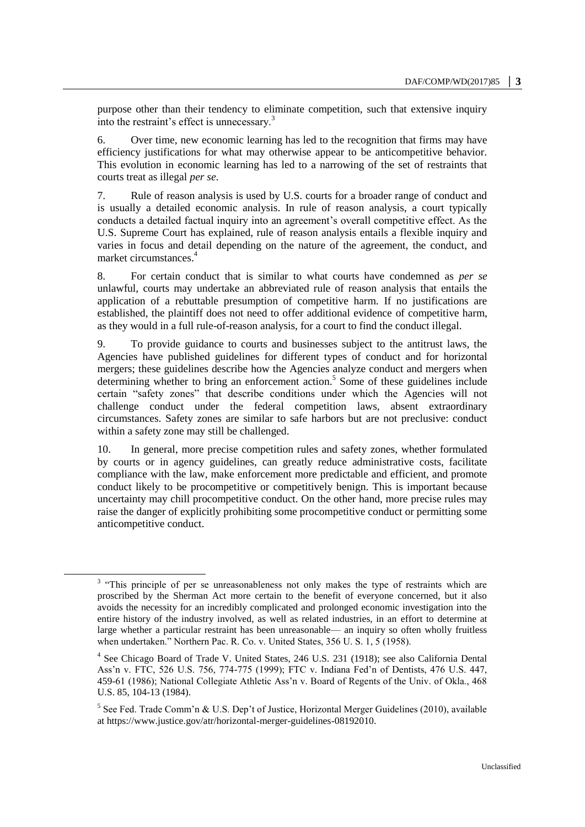purpose other than their tendency to eliminate competition, such that extensive inquiry into the restraint's effect is unnecessary.<sup>3</sup>

6. Over time, new economic learning has led to the recognition that firms may have efficiency justifications for what may otherwise appear to be anticompetitive behavior. This evolution in economic learning has led to a narrowing of the set of restraints that courts treat as illegal *per se*.

7. Rule of reason analysis is used by U.S. courts for a broader range of conduct and is usually a detailed economic analysis. In rule of reason analysis, a court typically conducts a detailed factual inquiry into an agreement's overall competitive effect. As the U.S. Supreme Court has explained, rule of reason analysis entails a flexible inquiry and varies in focus and detail depending on the nature of the agreement, the conduct, and market circumstances.<sup>4</sup>

8. For certain conduct that is similar to what courts have condemned as *per se* unlawful, courts may undertake an abbreviated rule of reason analysis that entails the application of a rebuttable presumption of competitive harm. If no justifications are established, the plaintiff does not need to offer additional evidence of competitive harm, as they would in a full rule-of-reason analysis, for a court to find the conduct illegal.

9. To provide guidance to courts and businesses subject to the antitrust laws, the Agencies have published guidelines for different types of conduct and for horizontal mergers; these guidelines describe how the Agencies analyze conduct and mergers when determining whether to bring an enforcement action.<sup>5</sup> Some of these guidelines include certain "safety zones" that describe conditions under which the Agencies will not challenge conduct under the federal competition laws, absent extraordinary circumstances. Safety zones are similar to safe harbors but are not preclusive: conduct within a safety zone may still be challenged.

10. In general, more precise competition rules and safety zones, whether formulated by courts or in agency guidelines, can greatly reduce administrative costs, facilitate compliance with the law, make enforcement more predictable and efficient, and promote conduct likely to be procompetitive or competitively benign. This is important because uncertainty may chill procompetitive conduct. On the other hand, more precise rules may raise the danger of explicitly prohibiting some procompetitive conduct or permitting some anticompetitive conduct.

<sup>&</sup>lt;sup>3</sup> "This principle of per se unreasonableness not only makes the type of restraints which are proscribed by the Sherman Act more certain to the benefit of everyone concerned, but it also avoids the necessity for an incredibly complicated and prolonged economic investigation into the entire history of the industry involved, as well as related industries, in an effort to determine at large whether a particular restraint has been unreasonable— an inquiry so often wholly fruitless when undertaken." Northern Pac. R. Co. v. United States, 356 U. S. 1, 5 (1958).

<sup>&</sup>lt;sup>4</sup> See Chicago Board of Trade V. United States, 246 U.S. 231 (1918); see also California Dental Ass'n v. FTC, 526 U.S. 756, 774-775 (1999); FTC v. Indiana Fed'n of Dentists, 476 U.S. 447, 459-61 (1986); National Collegiate Athletic Ass'n v. Board of Regents of the Univ. of Okla., 468 U.S. 85, 104-13 (1984).

<sup>&</sup>lt;sup>5</sup> See Fed. Trade Comm'n & U.S. Dep't of Justice, Horizontal Merger Guidelines (2010), available at https://www.justice.gov/atr/horizontal-merger-guidelines-08192010.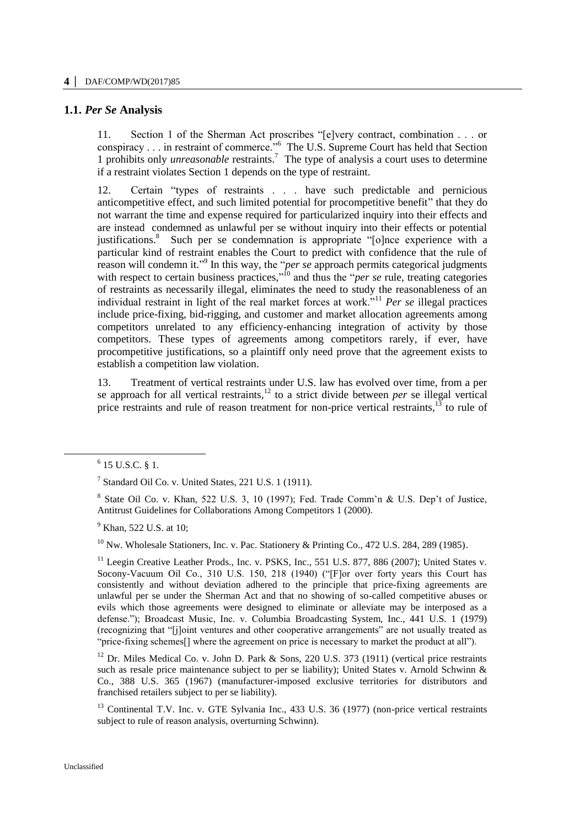# **1.1.** *Per Se* **Analysis**

11. Section 1 of the Sherman Act proscribes "[e]very contract, combination . . . or conspiracy . . . in restraint of commerce."<sup>6</sup> The U.S. Supreme Court has held that Section 1 prohibits only *unreasonable* restraints.<sup>7</sup> The type of analysis a court uses to determine if a restraint violates Section 1 depends on the type of restraint.

12. Certain "types of restraints . . . have such predictable and pernicious anticompetitive effect, and such limited potential for procompetitive benefit" that they do not warrant the time and expense required for particularized inquiry into their effects and are instead condemned as unlawful per se without inquiry into their effects or potential justifications.<sup>8</sup> Such per se condemnation is appropriate "[o]nce experience with a particular kind of restraint enables the Court to predict with confidence that the rule of reason will condemn it."<sup>9</sup> In this way, the "*per se* approach permits categorical judgments with respect to certain business practices,"<sup>10</sup> and thus the "*per se* rule, treating categories of restraints as necessarily illegal, eliminates the need to study the reasonableness of an individual restraint in light of the real market forces at work."<sup>11</sup> *Per se* illegal practices include price-fixing, bid-rigging, and customer and market allocation agreements among competitors unrelated to any efficiency-enhancing integration of activity by those competitors. These types of agreements among competitors rarely, if ever, have procompetitive justifications, so a plaintiff only need prove that the agreement exists to establish a competition law violation.

13. Treatment of vertical restraints under U.S. law has evolved over time, from a per se approach for all vertical restraints,<sup>12</sup> to a strict divide between *per* se illegal vertical price restraints and rule of reason treatment for non-price vertical restraints, $13$  to rule of

 $\ddot{\phantom{a}}$ 

<sup>9</sup> Khan, 522 U.S. at 10;

<sup>10</sup> Nw. Wholesale Stationers, Inc. v. Pac. Stationery & Printing Co., 472 U.S. 284, 289 (1985).

<sup>11</sup> Leegin Creative Leather Prods., Inc. v. PSKS, Inc., 551 U.S. 877, 886 (2007); United States v. Socony-Vacuum Oil Co., 310 U.S. 150, 218 (1940) ("[F]or over forty years this Court has consistently and without deviation adhered to the principle that price-fixing agreements are unlawful per se under the Sherman Act and that no showing of so-called competitive abuses or evils which those agreements were designed to eliminate or alleviate may be interposed as a defense."); Broadcast Music, Inc. v. Columbia Broadcasting System, Inc., 441 U.S. 1 (1979) (recognizing that "[j]oint ventures and other cooperative arrangements" are not usually treated as "price-fixing schemes<sup>[]</sup> where the agreement on price is necessary to market the product at all").

<sup>12</sup> Dr. Miles Medical Co. v. John D. Park & Sons, 220 U.S. 373 (1911) (vertical price restraints such as resale price maintenance subject to per se liability); United States v. Arnold Schwinn  $\&$ Co., 388 U.S. 365 (1967) (manufacturer-imposed exclusive territories for distributors and franchised retailers subject to per se liability).

<sup>13</sup> Continental T.V. Inc. v. GTE Sylvania Inc., 433 U.S. 36 (1977) (non-price vertical restraints subject to rule of reason analysis, overturning Schwinn).

 $6$  15 U.S.C. § 1.

<sup>&</sup>lt;sup>7</sup> Standard Oil Co. v. United States, 221 U.S. 1 (1911).

<sup>&</sup>lt;sup>8</sup> State Oil Co. v. Khan, 522 U.S. 3, 10 (1997); Fed. Trade Comm'n & U.S. Dep't of Justice, Antitrust Guidelines for Collaborations Among Competitors 1 (2000).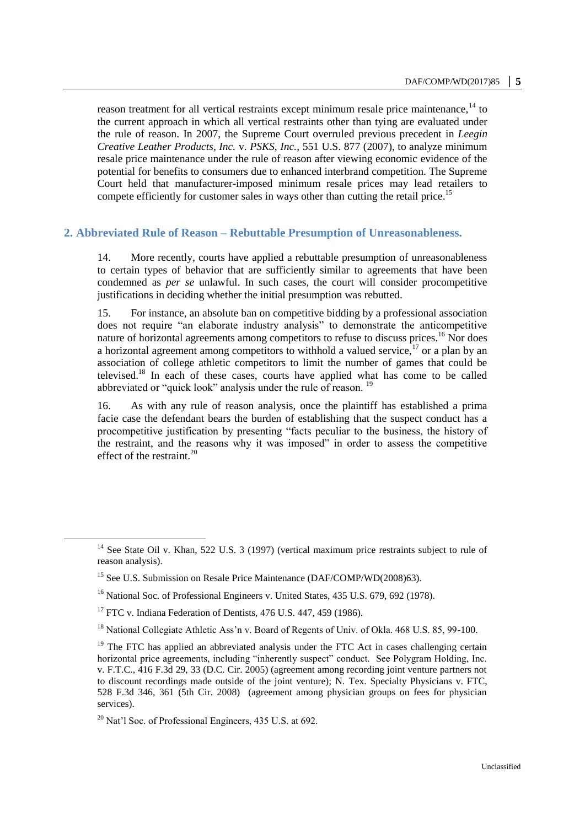reason treatment for all vertical restraints except minimum resale price maintenance,<sup>14</sup> to the current approach in which all vertical restraints other than tying are evaluated under the rule of reason. In 2007, the Supreme Court overruled previous precedent in *Leegin Creative Leather Products, Inc.* v. *PSKS, Inc.,* 551 U.S. 877 (2007), to analyze minimum resale price maintenance under the rule of reason after viewing economic evidence of the potential for benefits to consumers due to enhanced interbrand competition. The Supreme Court held that manufacturer-imposed minimum resale prices may lead retailers to compete efficiently for customer sales in ways other than cutting the retail price.<sup>15</sup>

### **2. Abbreviated Rule of Reason – Rebuttable Presumption of Unreasonableness.**

14. More recently, courts have applied a rebuttable presumption of unreasonableness to certain types of behavior that are sufficiently similar to agreements that have been condemned as *per se* unlawful. In such cases, the court will consider procompetitive justifications in deciding whether the initial presumption was rebutted.

15. For instance, an absolute ban on competitive bidding by a professional association does not require "an elaborate industry analysis" to demonstrate the anticompetitive nature of horizontal agreements among competitors to refuse to discuss prices.<sup>16</sup> Nor does a horizontal agreement among competitors to withhold a valued service,  $17$  or a plan by an association of college athletic competitors to limit the number of games that could be televised.<sup>18</sup> In each of these cases, courts have applied what has come to be called abbreviated or "quick look" analysis under the rule of reason.<sup>19</sup>

16. As with any rule of reason analysis, once the plaintiff has established a prima facie case the defendant bears the burden of establishing that the suspect conduct has a procompetitive justification by presenting "facts peculiar to the business, the history of the restraint, and the reasons why it was imposed" in order to assess the competitive effect of the restraint. $^{20}$ 

<sup>&</sup>lt;sup>14</sup> See State Oil v. Khan, 522 U.S. 3 (1997) (vertical maximum price restraints subject to rule of reason analysis).

<sup>&</sup>lt;sup>15</sup> See U.S. Submission on Resale Price Maintenance (DAF/COMP/WD(2008)63).

<sup>&</sup>lt;sup>16</sup> National Soc. of Professional Engineers v. United States, 435 U.S. 679, 692 (1978).

 $17$  FTC v. Indiana Federation of Dentists, 476 U.S. 447, 459 (1986).

<sup>&</sup>lt;sup>18</sup> National Collegiate Athletic Ass'n v. Board of Regents of Univ. of Okla. 468 U.S. 85, 99-100.

 $19$  The FTC has applied an abbreviated analysis under the FTC Act in cases challenging certain horizontal price agreements, including "inherently suspect" conduct. See Polygram Holding, Inc. v. F.T.C., 416 F.3d 29, 33 (D.C. Cir. 2005) (agreement among recording joint venture partners not to discount recordings made outside of the joint venture); N. Tex. Specialty Physicians v. FTC, 528 F.3d 346, 361 (5th Cir. 2008) (agreement among physician groups on fees for physician services).

 $^{20}$  Nat'l Soc. of Professional Engineers, 435 U.S. at 692.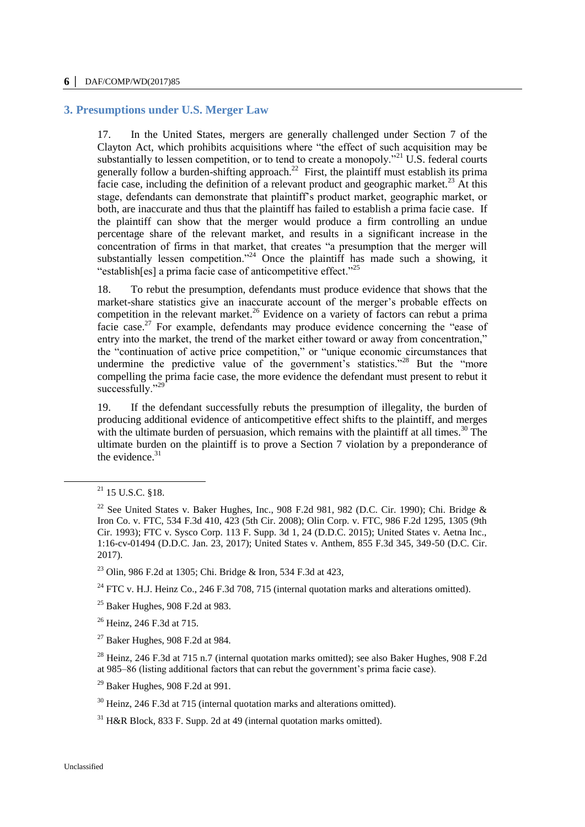#### **6 │** DAF/COMP/WD(2017)85

### **3. Presumptions under U.S. Merger Law**

17. In the United States, mergers are generally challenged under Section 7 of the Clayton Act, which prohibits acquisitions where "the effect of such acquisition may be substantially to lessen competition, or to tend to create a monopoly."<sup>21</sup> U.S. federal courts generally follow a burden-shifting approach.<sup>22</sup> First, the plaintiff must establish its prima facie case, including the definition of a relevant product and geographic market.<sup>23</sup> At this stage, defendants can demonstrate that plaintiff's product market, geographic market, or both, are inaccurate and thus that the plaintiff has failed to establish a prima facie case. If the plaintiff can show that the merger would produce a firm controlling an undue percentage share of the relevant market, and results in a significant increase in the concentration of firms in that market, that creates "a presumption that the merger will substantially lessen competition."<sup>24</sup> Once the plaintiff has made such a showing, it "establish[es] a prima facie case of anticompetitive effect."<sup>25</sup>

18. To rebut the presumption, defendants must produce evidence that shows that the market-share statistics give an inaccurate account of the merger's probable effects on competition in the relevant market.<sup>26</sup> Evidence on a variety of factors can rebut a prima facie case.<sup>27</sup> For example, defendants may produce evidence concerning the "ease of entry into the market, the trend of the market either toward or away from concentration," the "continuation of active price competition," or "unique economic circumstances that undermine the predictive value of the government's statistics."<sup>28</sup> But the "more compelling the prima facie case, the more evidence the defendant must present to rebut it successfully."<sup>29</sup>

19. If the defendant successfully rebuts the presumption of illegality, the burden of producing additional evidence of anticompetitive effect shifts to the plaintiff, and merges with the ultimate burden of persuasion, which remains with the plaintiff at all times.<sup>30</sup> The ultimate burden on the plaintiff is to prove a Section 7 violation by a preponderance of the evidence. $31$ 

 $\overline{a}$ 

<sup>23</sup> Olin, 986 F.2d at 1305; Chi. Bridge & Iron, 534 F.3d at 423,

<sup>24</sup> FTC v. H.J. Heinz Co., 246 F.3d 708, 715 (internal quotation marks and alterations omitted).

 $25$  Baker Hughes, 908 F.2d at 983.

<sup>26</sup> Heinz, 246 F.3d at 715.

 $27$  Baker Hughes, 908 F.2d at 984.

<sup>28</sup> Heinz, 246 F.3d at 715 n.7 (internal quotation marks omitted); see also Baker Hughes, 908 F.2d at 985–86 (listing additional factors that can rebut the government's prima facie case).

 $29$  Baker Hughes, 908 F.2d at 991.

<sup>30</sup> Heinz, 246 F.3d at 715 (internal quotation marks and alterations omitted).

 $21$  15 U.S.C. §18.

<sup>&</sup>lt;sup>22</sup> See United States v. Baker Hughes, Inc., 908 F.2d 981, 982 (D.C. Cir. 1990); Chi. Bridge & Iron Co. v. FTC, 534 F.3d 410, 423 (5th Cir. 2008); Olin Corp. v. FTC, 986 F.2d 1295, 1305 (9th Cir. 1993); FTC v. Sysco Corp. 113 F. Supp. 3d 1, 24 (D.D.C. 2015); United States v. Aetna Inc., 1:16-cv-01494 (D.D.C. Jan. 23, 2017); United States v. Anthem, 855 F.3d 345, 349-50 (D.C. Cir. 2017).

 $31$  H&R Block, 833 F. Supp. 2d at 49 (internal quotation marks omitted).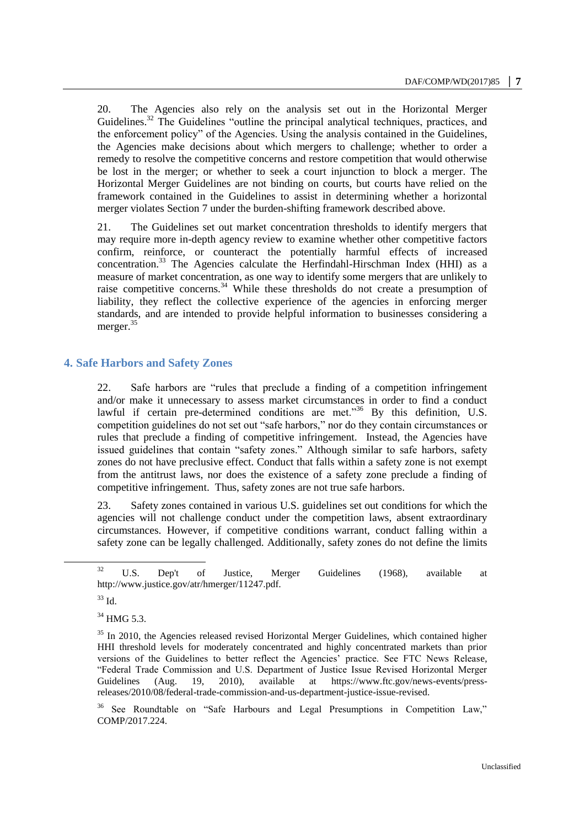20. The Agencies also rely on the analysis set out in the Horizontal Merger Guidelines.<sup>32</sup> The Guidelines "outline the principal analytical techniques, practices, and the enforcement policy" of the Agencies. Using the analysis contained in the Guidelines, the Agencies make decisions about which mergers to challenge; whether to order a remedy to resolve the competitive concerns and restore competition that would otherwise be lost in the merger; or whether to seek a court injunction to block a merger. The Horizontal Merger Guidelines are not binding on courts, but courts have relied on the framework contained in the Guidelines to assist in determining whether a horizontal merger violates Section 7 under the burden-shifting framework described above.

21. The Guidelines set out market concentration thresholds to identify mergers that may require more in-depth agency review to examine whether other competitive factors confirm, reinforce, or counteract the potentially harmful effects of increased concentration.<sup>33</sup> The Agencies calculate the Herfindahl-Hirschman Index (HHI) as a measure of market concentration, as one way to identify some mergers that are unlikely to raise competitive concerns.<sup>34</sup> While these thresholds do not create a presumption of liability, they reflect the collective experience of the agencies in enforcing merger standards, and are intended to provide helpful information to businesses considering a merger.<sup>35</sup>

# **4. Safe Harbors and Safety Zones**

22. Safe harbors are "rules that preclude a finding of a competition infringement and/or make it unnecessary to assess market circumstances in order to find a conduct lawful if certain pre-determined conditions are met."<sup>36</sup> By this definition, U.S. competition guidelines do not set out "safe harbors," nor do they contain circumstances or rules that preclude a finding of competitive infringement. Instead, the Agencies have issued guidelines that contain "safety zones." Although similar to safe harbors, safety zones do not have preclusive effect. Conduct that falls within a safety zone is not exempt from the antitrust laws, nor does the existence of a safety zone preclude a finding of competitive infringement. Thus, safety zones are not true safe harbors.

23. Safety zones contained in various U.S. guidelines set out conditions for which the agencies will not challenge conduct under the competition laws, absent extraordinary circumstances. However, if competitive conditions warrant, conduct falling within a safety zone can be legally challenged. Additionally, safety zones do not define the limits

 $\overline{a}$ 

<sup>34</sup> HMG 5.3.

 $32$  U.S. Dep't of Justice, Merger Guidelines (1968), available at http://www.justice.gov/atr/hmerger/11247.pdf.

 $33$  Id.

<sup>&</sup>lt;sup>35</sup> In 2010, the Agencies released revised Horizontal Merger Guidelines, which contained higher HHI threshold levels for moderately concentrated and highly concentrated markets than prior versions of the Guidelines to better reflect the Agencies' practice. See FTC News Release, "Federal Trade Commission and U.S. Department of Justice Issue Revised Horizontal Merger Guidelines (Aug. 19, 2010), available at [https://www.ftc.gov/news-events/press](https://www.ftc.gov/news-events/press-releases/2010/08/federal-trade-commission-and-us-department-justice-issue-revised)[releases/2010/08/federal-trade-commission-and-us-department-justice-issue-revised.](https://www.ftc.gov/news-events/press-releases/2010/08/federal-trade-commission-and-us-department-justice-issue-revised)

<sup>&</sup>lt;sup>36</sup> See Roundtable on "Safe Harbours and Legal Presumptions in Competition Law," COMP/2017.224.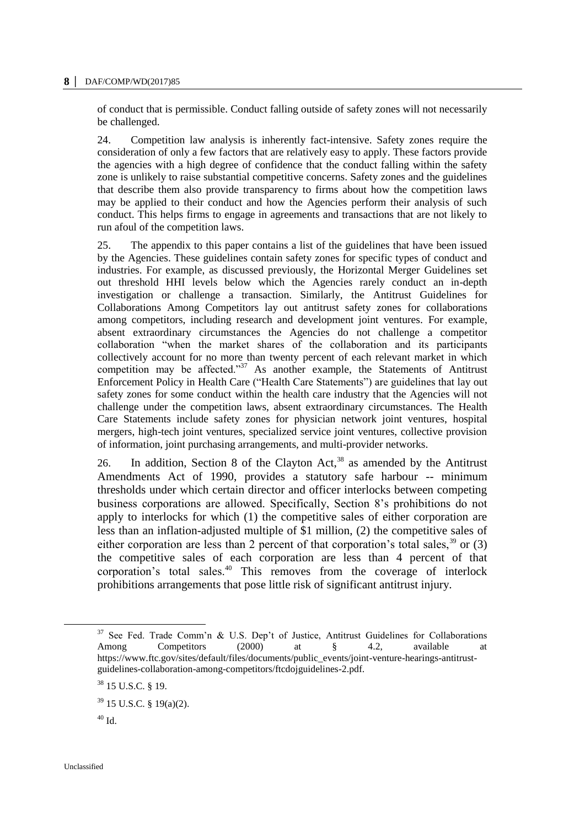#### **8 │** DAF/COMP/WD(2017)85

of conduct that is permissible. Conduct falling outside of safety zones will not necessarily be challenged.

24. Competition law analysis is inherently fact-intensive. Safety zones require the consideration of only a few factors that are relatively easy to apply. These factors provide the agencies with a high degree of confidence that the conduct falling within the safety zone is unlikely to raise substantial competitive concerns. Safety zones and the guidelines that describe them also provide transparency to firms about how the competition laws may be applied to their conduct and how the Agencies perform their analysis of such conduct. This helps firms to engage in agreements and transactions that are not likely to run afoul of the competition laws.

25. The appendix to this paper contains a list of the guidelines that have been issued by the Agencies. These guidelines contain safety zones for specific types of conduct and industries. For example, as discussed previously, the Horizontal Merger Guidelines set out threshold HHI levels below which the Agencies rarely conduct an in-depth investigation or challenge a transaction. Similarly, the Antitrust Guidelines for Collaborations Among Competitors lay out antitrust safety zones for collaborations among competitors, including research and development joint ventures. For example, absent extraordinary circumstances the Agencies do not challenge a competitor collaboration "when the market shares of the collaboration and its participants collectively account for no more than twenty percent of each relevant market in which competition may be affected."<sup>37</sup> As another example, the Statements of Antitrust Enforcement Policy in Health Care ("Health Care Statements") are guidelines that lay out safety zones for some conduct within the health care industry that the Agencies will not challenge under the competition laws, absent extraordinary circumstances. The Health Care Statements include safety zones for physician network joint ventures, hospital mergers, high-tech joint ventures, specialized service joint ventures, collective provision of information, joint purchasing arrangements, and multi-provider networks.

26. In addition, Section 8 of the Clayton Act,  $38$  as amended by the Antitrust Amendments Act of 1990, provides a statutory safe harbour -- minimum thresholds under which certain director and officer interlocks between competing business corporations are allowed. Specifically, Section 8's prohibitions do not apply to interlocks for which (1) the competitive sales of either corporation are less than an inflation-adjusted multiple of \$1 million, (2) the competitive sales of either corporation are less than 2 percent of that corporation's total sales,  $39$  or (3) the competitive sales of each corporation are less than 4 percent of that corporation's total sales.<sup>40</sup> This removes from the coverage of interlock prohibitions arrangements that pose little risk of significant antitrust injury.

<sup>&</sup>lt;sup>37</sup> See Fed. Trade Comm'n & U.S. Dep't of Justice, Antitrust Guidelines for Collaborations Among Competitors (2000) at § 4.2, available at https://www.ftc.gov/sites/default/files/documents/public\_events/joint-venture-hearings-antitrustguidelines-collaboration-among-competitors/ftcdojguidelines-2.pdf.

<sup>38</sup> 15 U.S.C. § 19.

<sup>39</sup> 15 U.S.C. § 19(a)(2).

 $^{40}$  Id.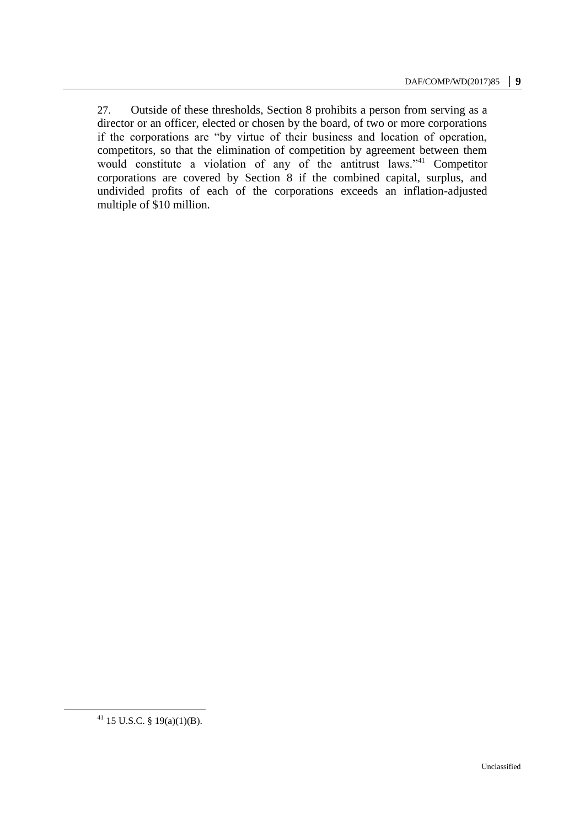27. Outside of these thresholds, Section 8 prohibits a person from serving as a director or an officer, elected or chosen by the board, of two or more corporations if the corporations are "by virtue of their business and location of operation, competitors, so that the elimination of competition by agreement between them would constitute a violation of any of the antitrust laws."<sup>41</sup> Competitor corporations are covered by Section 8 if the combined capital, surplus, and undivided profits of each of the corporations exceeds an inflation-adjusted multiple of \$10 million.

 $41$  15 U.S.C. § 19(a)(1)(B).